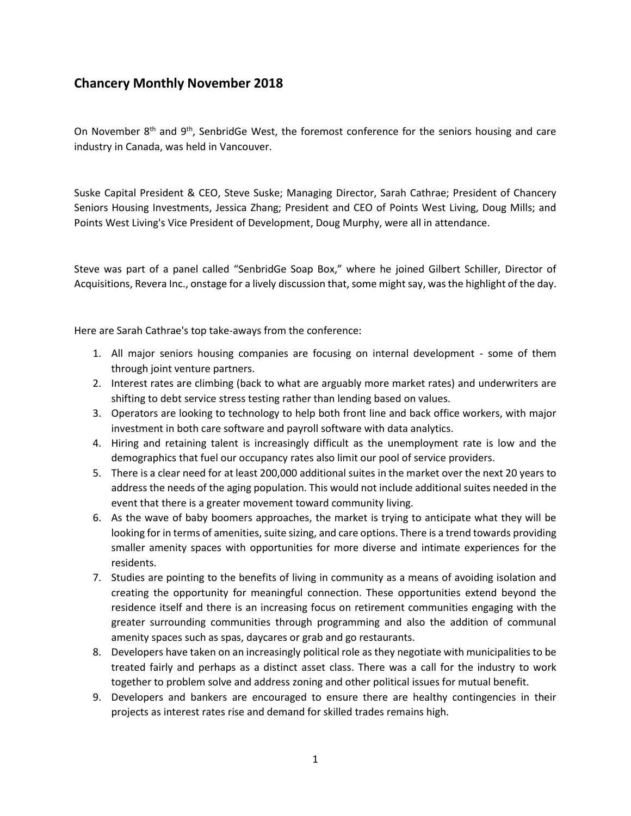## **Chancery Monthly November 2018**

On November 8<sup>th</sup> and 9<sup>th</sup>, SenbridGe West, the foremost conference for the seniors housing and care industry in Canada, was held in Vancouver.

Suske Capital President & CEO, Steve Suske; Managing Director, Sarah Cathrae; President of Chancery Seniors Housing Investments, Jessica Zhang; President and CEO of Points West Living, Doug Mills; and Points West Living's Vice President of Development, Doug Murphy, were all in attendance.

Steve was part of a panel called "SenbridGe Soap Box," where he joined Gilbert Schiller, Director of Acquisitions, Revera Inc., onstage for a lively discussion that, some might say, was the highlight of the day.

Here are Sarah Cathrae's top take-aways from the conference:

- 1. All major seniors housing companies are focusing on internal development some of them through joint venture partners.
- 2. Interest rates are climbing (back to what are arguably more market rates) and underwriters are shifting to debt service stress testing rather than lending based on values.
- 3. Operators are looking to technology to help both front line and back office workers, with major investment in both care software and payroll software with data analytics.
- 4. Hiring and retaining talent is increasingly difficult as the unemployment rate is low and the demographics that fuel our occupancy rates also limit our pool of service providers.
- 5. There is a clear need for at least 200,000 additional suites in the market over the next 20 years to address the needs of the aging population. This would not include additional suites needed in the event that there is a greater movement toward community living.
- 6. As the wave of baby boomers approaches, the market is trying to anticipate what they will be looking for in terms of amenities, suite sizing, and care options. There is a trend towards providing smaller amenity spaces with opportunities for more diverse and intimate experiences for the residents.
- 7. Studies are pointing to the benefits of living in community as a means of avoiding isolation and creating the opportunity for meaningful connection. These opportunities extend beyond the residence itself and there is an increasing focus on retirement communities engaging with the greater surrounding communities through programming and also the addition of communal amenity spaces such as spas, daycares or grab and go restaurants.
- 8. Developers have taken on an increasingly political role as they negotiate with municipalities to be treated fairly and perhaps as a distinct asset class. There was a call for the industry to work together to problem solve and address zoning and other political issues for mutual benefit.
- 9. Developers and bankers are encouraged to ensure there are healthy contingencies in their projects as interest rates rise and demand for skilled trades remains high.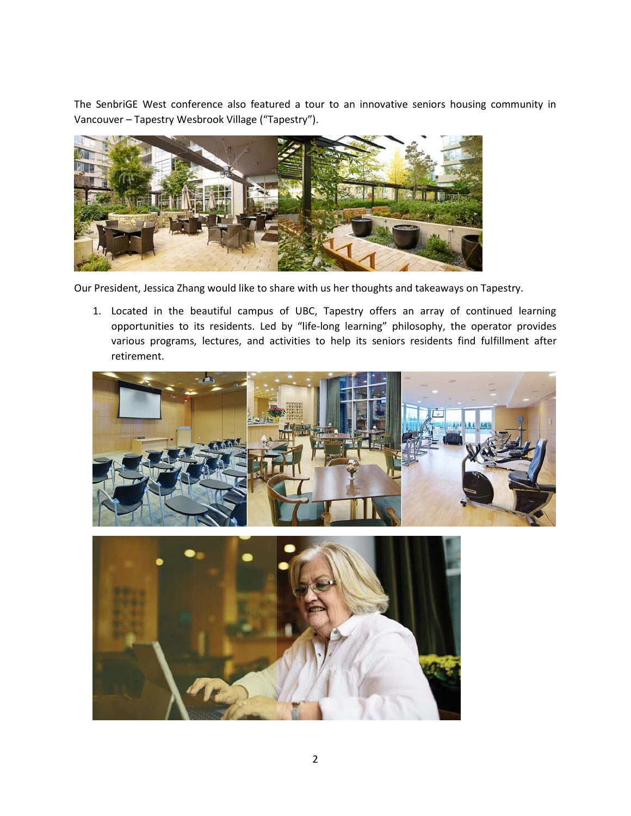The SenbriGE West conference also featured a tour to an innovative seniors housing community in Vancouver – Tapestry Wesbrook Village ("Tapestry").



Our President, Jessica Zhang would like to share with us her thoughts and takeaways on Tapestry.

1. Located in the beautiful campus of UBC, Tapestry offers an array of continued learning opportunities to its residents. Led by "life-long learning" philosophy, the operator provides various programs, lectures, and activities to help its seniors residents find fulfillment after retirement.



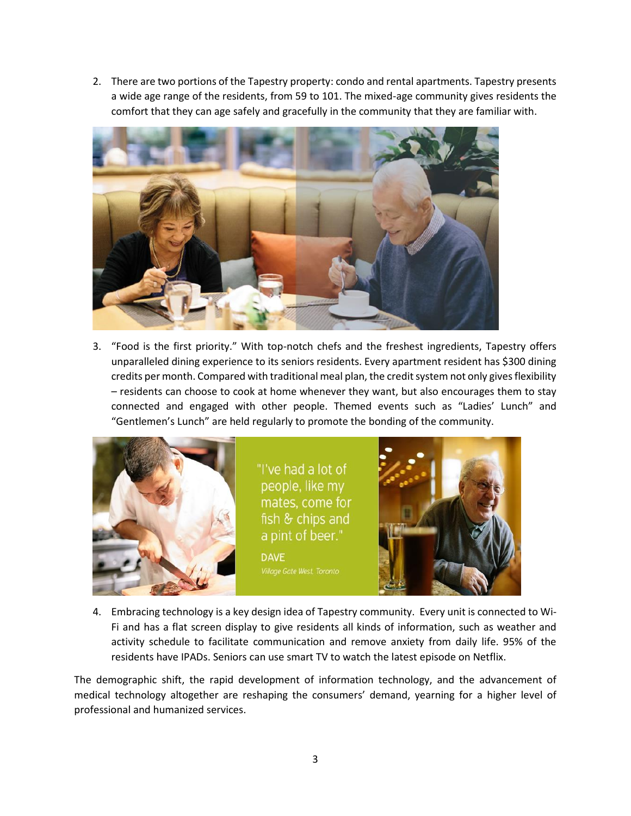2. There are two portions of the Tapestry property: condo and rental apartments. Tapestry presents a wide age range of the residents, from 59 to 101. The mixed-age community gives residents the comfort that they can age safely and gracefully in the community that they are familiar with.



3. "Food is the first priority." With top-notch chefs and the freshest ingredients, Tapestry offers unparalleled dining experience to its seniors residents. Every apartment resident has \$300 dining credits per month. Compared with traditional meal plan, the credit system not only gives flexibility – residents can choose to cook at home whenever they want, but also encourages them to stay connected and engaged with other people. Themed events such as "Ladies' Lunch" and "Gentlemen's Lunch" are held regularly to promote the bonding of the community.



4. Embracing technology is a key design idea of Tapestry community. Every unit is connected to Wi-Fi and has a flat screen display to give residents all kinds of information, such as weather and activity schedule to facilitate communication and remove anxiety from daily life. 95% of the residents have IPADs. Seniors can use smart TV to watch the latest episode on Netflix.

The demographic shift, the rapid development of information technology, and the advancement of medical technology altogether are reshaping the consumers' demand, yearning for a higher level of professional and humanized services.